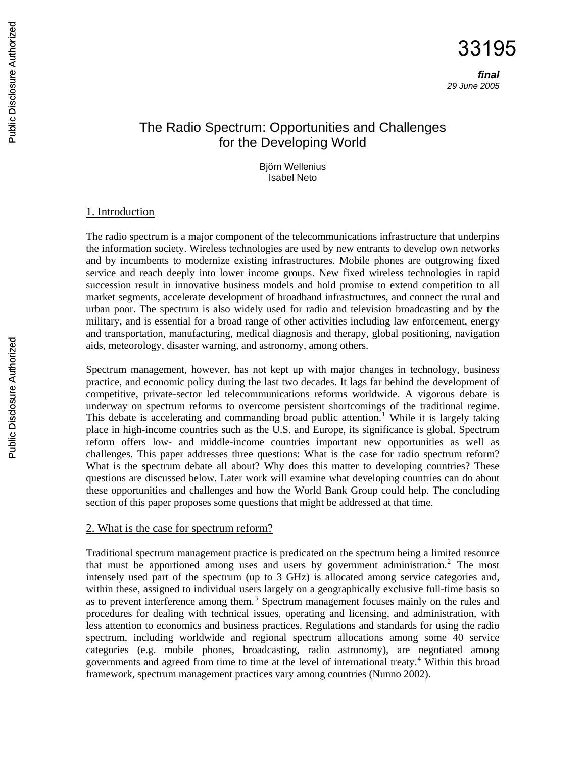# The Radio Spectrum: Opportunities and Challenges for the Developing World

Björn Wellenius Isabel Neto

#### 1. Introduction

The radio spectrum is a major component of the telecommunications infrastructure that underpins the information society. Wireless technologies are used by new entrants to develop own networks and by incumbents to modernize existing infrastructures. Mobile phones are outgrowing fixed service and reach deeply into lower income groups. New fixed wireless technologies in rapid succession result in innovative business models and hold promise to extend competition to all market segments, accelerate development of broadband infrastructures, and connect the rural and urban poor. The spectrum is also widely used for radio and television broadcasting and by the military, and is essential for a broad range of other activities including law enforcement, energy and transportation, manufacturing, medical diagnosis and therapy, global positioning, navigation aids, meteorology, disaster warning, and astronomy, among others.

Spectrum management, however, has not kept up with major changes in technology, business practice, and economic policy during the last two decades. It lags far behind the development of competitive, private-sector led telecommunications reforms worldwide. A vigorous debate is underway on spectrum reforms to overcome persistent shortcomings of the traditional regime. This debate is accelerating and commanding broad public attention.<sup>[1](#page-16-0)</sup> While it is largely taking place in high-income countries such as the U.S. and Europe, its significance is global. Spectrum reform offers low- and middle-income countries important new opportunities as well as challenges. This paper addresses three questions: What is the case for radio spectrum reform? What is the spectrum debate all about? Why does this matter to developing countries? These questions are discussed below. Later work will examine what developing countries can do about these opportunities and challenges and how the World Bank Group could help. The concluding section of this paper proposes some questions that might be addressed at that time.

#### 2. What is the case for spectrum reform?

Traditional spectrum management practice is predicated on the spectrum being a limited resource that must be apportioned among uses and users by government administration.<sup>[2](#page-16-1)</sup> The most intensely used part of the spectrum (up to 3 GHz) is allocated among service categories and, within these, assigned to individual users largely on a geographically exclusive full-time basis so as to prevent interference among them.<sup>[3](#page-16-1)</sup> Spectrum management focuses mainly on the rules and procedures for dealing with technical issues, operating and licensing, and administration, with less attention to economics and business practices. Regulations and standards for using the radio spectrum, including worldwide and regional spectrum allocations among some 40 service categories (e.g. mobile phones, broadcasting, radio astronomy), are negotiated among governments and agreed from time to time at the level of international treaty.[4](#page-16-1) Within this broad framework, spectrum management practices vary among countries (Nunno 2002).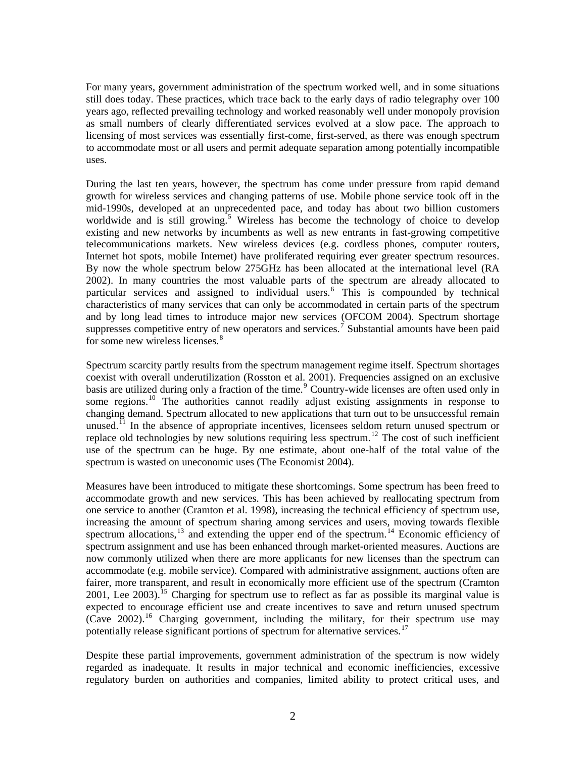For many years, government administration of the spectrum worked well, and in some situations still does today. These practices, which trace back to the early days of radio telegraphy over 100 years ago, reflected prevailing technology and worked reasonably well under monopoly provision as small numbers of clearly differentiated services evolved at a slow pace. The approach to licensing of most services was essentially first-come, first-served, as there was enough spectrum to accommodate most or all users and permit adequate separation among potentially incompatible uses.

During the last ten years, however, the spectrum has come under pressure from rapid demand growth for wireless services and changing patterns of use. Mobile phone service took off in the mid-1990s, developed at an unprecedented pace, and today has about two billion customers worldwide and is still growing.<sup>[5](#page-16-1)</sup> Wireless has become the technology of choice to develop existing and new networks by incumbents as well as new entrants in fast-growing competitive telecommunications markets. New wireless devices (e.g. cordless phones, computer routers, Internet hot spots, mobile Internet) have proliferated requiring ever greater spectrum resources. By now the whole spectrum below 275GHz has been allocated at the international level (RA 2002). In many countries the most valuable parts of the spectrum are already allocated to particular services and assigned to individual users.<sup>[6](#page-16-1)</sup> This is compounded by technical characteristics of many services that can only be accommodated in certain parts of the spectrum and by long lead times to introduce major new services (OFCOM 2004). Spectrum shortage suppresses competitive entry of new operators and services.<sup>[7](#page-16-1)</sup> Substantial amounts have been paid for some new wireless licenses.<sup>[8](#page-16-1)</sup>

Spectrum scarcity partly results from the spectrum management regime itself. Spectrum shortages coexist with overall underutilization (Rosston et al. 2001). Frequencies assigned on an exclusive basis are utilized during only a fraction of the time.<sup>[9](#page-16-1)</sup> Country-wide licenses are often used only in some regions.<sup>[10](#page-16-1)</sup> The authorities cannot readily adjust existing assignments in response to changing demand. Spectrum allocated to new applications that turn out to be unsuccessful remain unused.<sup>[11](#page-16-1)</sup> In the absence of appropriate incentives, licensees seldom return unused spectrum or replace old technologies by new solutions requiring less spectrum.<sup>[12](#page-16-1)</sup> The cost of such inefficient use of the spectrum can be huge. By one estimate, about one-half of the total value of the spectrum is wasted on uneconomic uses (The Economist 2004).

Measures have been introduced to mitigate these shortcomings. Some spectrum has been freed to accommodate growth and new services. This has been achieved by reallocating spectrum from one service to another (Cramton et al. 1998), increasing the technical efficiency of spectrum use, increasing the amount of spectrum sharing among services and users, moving towards flexible spectrum allocations, $^{13}$  $^{13}$  $^{13}$  and extending the upper end of the spectrum.<sup>[14](#page-16-1)</sup> Economic efficiency of spectrum assignment and use has been enhanced through market-oriented measures. Auctions are now commonly utilized when there are more applicants for new licenses than the spectrum can accommodate (e.g. mobile service). Compared with administrative assignment, auctions often are fairer, more transparent, and result in economically more efficient use of the spectrum (Cramton 2001, Lee 2003).<sup>[15](#page-16-1)</sup> Charging for spectrum use to reflect as far as possible its marginal value is expected to encourage efficient use and create incentives to save and return unused spectrum (Cave 2002).<sup>[16](#page-16-1)</sup> Charging government, including the military, for their spectrum use may potentially release significant portions of spectrum for alternative services.<sup>[17](#page-16-1)</sup>

Despite these partial improvements, government administration of the spectrum is now widely regarded as inadequate. It results in major technical and economic inefficiencies, excessive regulatory burden on authorities and companies, limited ability to protect critical uses, and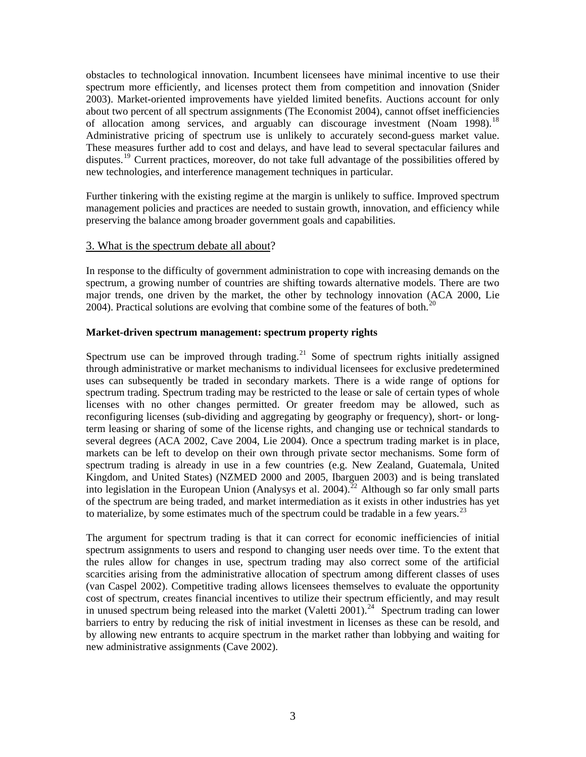obstacles to technological innovation. Incumbent licensees have minimal incentive to use their spectrum more efficiently, and licenses protect them from competition and innovation (Snider 2003). Market-oriented improvements have yielded limited benefits. Auctions account for only about two percent of all spectrum assignments (The Economist 2004), cannot offset inefficiencies of allocation among services, and arguably can discourage investment (Noam 1998).<sup>[18](#page-16-1)</sup> Administrative pricing of spectrum use is unlikely to accurately second-guess market value. These measures further add to cost and delays, and have lead to several spectacular failures and disputes.<sup>[19](#page-16-1)</sup> Current practices, moreover, do not take full advantage of the possibilities offered by new technologies, and interference management techniques in particular.

Further tinkering with the existing regime at the margin is unlikely to suffice. Improved spectrum management policies and practices are needed to sustain growth, innovation, and efficiency while preserving the balance among broader government goals and capabilities.

### 3. What is the spectrum debate all about?

In response to the difficulty of government administration to cope with increasing demands on the spectrum, a growing number of countries are shifting towards alternative models. There are two major trends, one driven by the market, the other by technology innovation (ACA 2000, Lie [20](#page-16-1)04). Practical solutions are evolving that combine some of the features of both.<sup>20</sup>

### **Market-driven spectrum management: spectrum property rights**

Spectrum use can be improved through trading.<sup>[21](#page-16-1)</sup> Some of spectrum rights initially assigned through administrative or market mechanisms to individual licensees for exclusive predetermined uses can subsequently be traded in secondary markets. There is a wide range of options for spectrum trading. Spectrum trading may be restricted to the lease or sale of certain types of whole licenses with no other changes permitted. Or greater freedom may be allowed, such as reconfiguring licenses (sub-dividing and aggregating by geography or frequency), short- or longterm leasing or sharing of some of the license rights, and changing use or technical standards to several degrees (ACA 2002, Cave 2004, Lie 2004). Once a spectrum trading market is in place, markets can be left to develop on their own through private sector mechanisms. Some form of spectrum trading is already in use in a few countries (e.g. New Zealand, Guatemala, United Kingdom, and United States) (NZMED 2000 and 2005, Ibarguen 2003) and is being translated into legislation in the European Union (Analysys et al. 2004).<sup>[22](#page-16-1)</sup> Although so far only small parts of the spectrum are being traded, and market intermediation as it exists in other industries has yet to materialize, by some estimates much of the spectrum could be tradable in a few years.<sup>[23](#page-16-1)</sup>

The argument for spectrum trading is that it can correct for economic inefficiencies of initial spectrum assignments to users and respond to changing user needs over time. To the extent that the rules allow for changes in use, spectrum trading may also correct some of the artificial scarcities arising from the administrative allocation of spectrum among different classes of uses (van Caspel 2002). Competitive trading allows licensees themselves to evaluate the opportunity cost of spectrum, creates financial incentives to utilize their spectrum efficiently, and may result in unused spectrum being released into the market (Valetti  $2001$ ).<sup>[24](#page-16-1)</sup> Spectrum trading can lower barriers to entry by reducing the risk of initial investment in licenses as these can be resold, and by allowing new entrants to acquire spectrum in the market rather than lobbying and waiting for new administrative assignments (Cave 2002).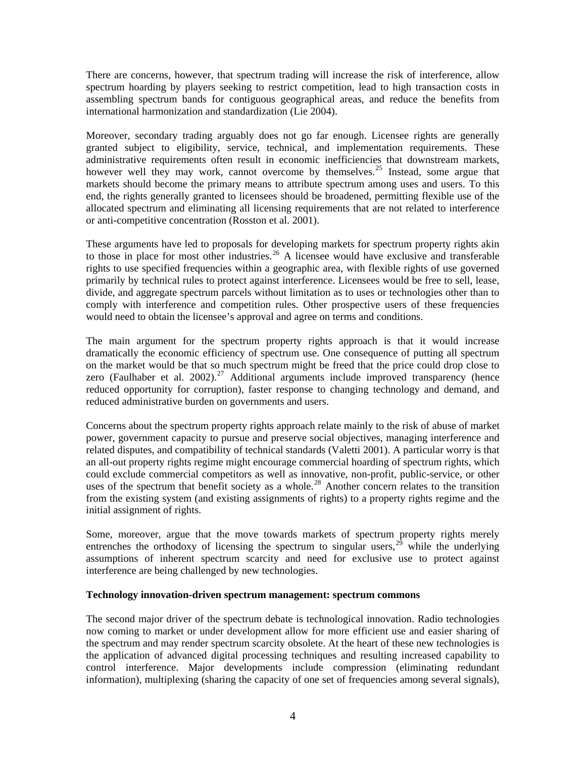There are concerns, however, that spectrum trading will increase the risk of interference, allow spectrum hoarding by players seeking to restrict competition, lead to high transaction costs in assembling spectrum bands for contiguous geographical areas, and reduce the benefits from international harmonization and standardization (Lie 2004).

Moreover, secondary trading arguably does not go far enough. Licensee rights are generally granted subject to eligibility, service, technical, and implementation requirements. These administrative requirements often result in economic inefficiencies that downstream markets, however well they may work, cannot overcome by themselves.<sup>[25](#page-16-1)</sup> Instead, some argue that markets should become the primary means to attribute spectrum among uses and users. To this end, the rights generally granted to licensees should be broadened, permitting flexible use of the allocated spectrum and eliminating all licensing requirements that are not related to interference or anti-competitive concentration (Rosston et al. 2001).

These arguments have led to proposals for developing markets for spectrum property rights akin to those in place for most other industries.<sup>[26](#page-16-1)</sup> A licensee would have exclusive and transferable rights to use specified frequencies within a geographic area, with flexible rights of use governed primarily by technical rules to protect against interference. Licensees would be free to sell, lease, divide, and aggregate spectrum parcels without limitation as to uses or technologies other than to comply with interference and competition rules. Other prospective users of these frequencies would need to obtain the licensee's approval and agree on terms and conditions.

The main argument for the spectrum property rights approach is that it would increase dramatically the economic efficiency of spectrum use. One consequence of putting all spectrum on the market would be that so much spectrum might be freed that the price could drop close to zero (Faulhaber et al. 2002).<sup>[27](#page-16-1)</sup> Additional arguments include improved transparency (hence reduced opportunity for corruption), faster response to changing technology and demand, and reduced administrative burden on governments and users.

Concerns about the spectrum property rights approach relate mainly to the risk of abuse of market power, government capacity to pursue and preserve social objectives, managing interference and related disputes, and compatibility of technical standards (Valetti 2001). A particular worry is that an all-out property rights regime might encourage commercial hoarding of spectrum rights, which could exclude commercial competitors as well as innovative, non-profit, public-service, or other uses of the spectrum that benefit society as a whole.<sup>[28](#page-16-1)</sup> Another concern relates to the transition from the existing system (and existing assignments of rights) to a property rights regime and the initial assignment of rights.

Some, moreover, argue that the move towards markets of spectrum property rights merely entrenches the orthodoxy of licensing the spectrum to singular users,<sup>[29](#page-16-1)</sup> while the underlying assumptions of inherent spectrum scarcity and need for exclusive use to protect against interference are being challenged by new technologies.

#### **Technology innovation-driven spectrum management: spectrum commons**

The second major driver of the spectrum debate is technological innovation. Radio technologies now coming to market or under development allow for more efficient use and easier sharing of the spectrum and may render spectrum scarcity obsolete. At the heart of these new technologies is the application of advanced digital processing techniques and resulting increased capability to control interference. Major developments include compression (eliminating redundant information), multiplexing (sharing the capacity of one set of frequencies among several signals),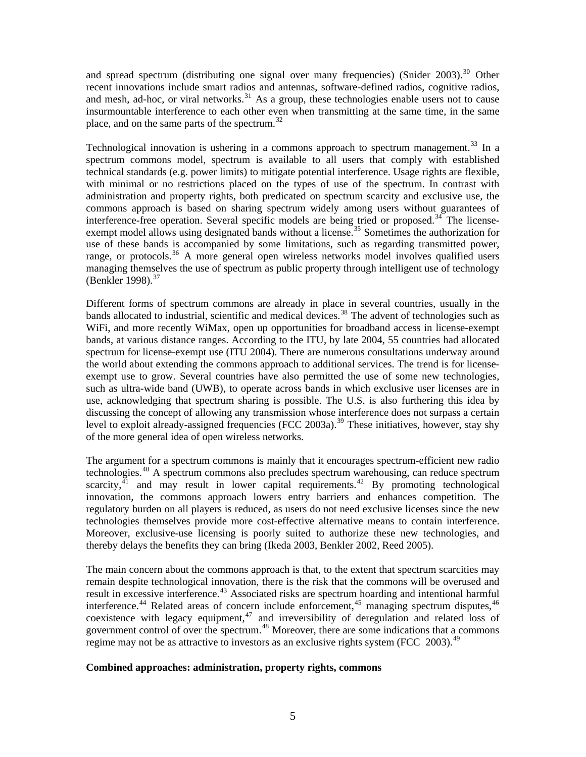and spread spectrum (distributing one signal over many frequencies) (Snider  $2003$ ).<sup>[30](#page-16-1)</sup> Other recent innovations include smart radios and antennas, software-defined radios, cognitive radios, and mesh, ad-hoc, or viral networks.<sup>[31](#page-16-1)</sup> As a group, these technologies enable users not to cause insurmountable interference to each other even when transmitting at the same time, in the same place, and on the same parts of the spectrum.<sup>[32](#page-16-1)</sup>

Technological innovation is ushering in a commons approach to spectrum management.<sup>[33](#page-16-1)</sup> In a spectrum commons model, spectrum is available to all users that comply with established technical standards (e.g. power limits) to mitigate potential interference. Usage rights are flexible, with minimal or no restrictions placed on the types of use of the spectrum. In contrast with administration and property rights, both predicated on spectrum scarcity and exclusive use, the commons approach is based on sharing spectrum widely among users without guarantees of interference-free operation. Several specific models are being tried or proposed.<sup>[34](#page-16-1)</sup> The license-exempt model allows using designated bands without a license.<sup>[35](#page-16-1)</sup> Sometimes the authorization for use of these bands is accompanied by some limitations, such as regarding transmitted power, range, or protocols.<sup>[36](#page-16-1)</sup> A more general open wireless networks model involves qualified users managing themselves the use of spectrum as public property through intelligent use of technology (Benkler 1998). $^{37}$  $^{37}$  $^{37}$ 

Different forms of spectrum commons are already in place in several countries, usually in the bands allocated to industrial, scientific and medical devices.<sup>[38](#page-16-1)</sup> The advent of technologies such as WiFi, and more recently WiMax, open up opportunities for broadband access in license-exempt bands, at various distance ranges. According to the ITU, by late 2004, 55 countries had allocated spectrum for license-exempt use (ITU 2004). There are numerous consultations underway around the world about extending the commons approach to additional services. The trend is for licenseexempt use to grow. Several countries have also permitted the use of some new technologies, such as ultra-wide band (UWB), to operate across bands in which exclusive user licenses are in use, acknowledging that spectrum sharing is possible. The U.S. is also furthering this idea by discussing the concept of allowing any transmission whose interference does not surpass a certain level to exploit already-assigned frequencies (FCC 2003a).<sup>[39](#page-16-1)</sup> These initiatives, however, stay shy of the more general idea of open wireless networks.

The argument for a spectrum commons is mainly that it encourages spectrum-efficient new radio technologies.[40](#page-16-1) A spectrum commons also precludes spectrum warehousing, can reduce spectrum scarcity, $41$  and may result in lower capital requirements. $42$  By promoting technological innovation, the commons approach lowers entry barriers and enhances competition. The regulatory burden on all players is reduced, as users do not need exclusive licenses since the new technologies themselves provide more cost-effective alternative means to contain interference. Moreover, exclusive-use licensing is poorly suited to authorize these new technologies, and thereby delays the benefits they can bring (Ikeda 2003, Benkler 2002, Reed 2005).

The main concern about the commons approach is that, to the extent that spectrum scarcities may remain despite technological innovation, there is the risk that the commons will be overused and result in excessive interference.<sup>[43](#page-16-1)</sup> Associated risks are spectrum hoarding and intentional harmful interference.<sup>[44](#page-16-1)</sup> Related areas of concern include enforcement,<sup>[45](#page-16-1)</sup> managing spectrum disputes,<sup>[46](#page-16-1)</sup> coexistence with legacy equipment,  $47$  and irreversibility of deregulation and related loss of government control of over the spectrum.<sup>[48](#page-16-1)</sup> Moreover, there are some indications that a commons regime may not be as attractive to investors as an exclusive rights system (FCC 2003).<sup>[49](#page-16-1)</sup>

# **Combined approaches: administration, property rights, commons**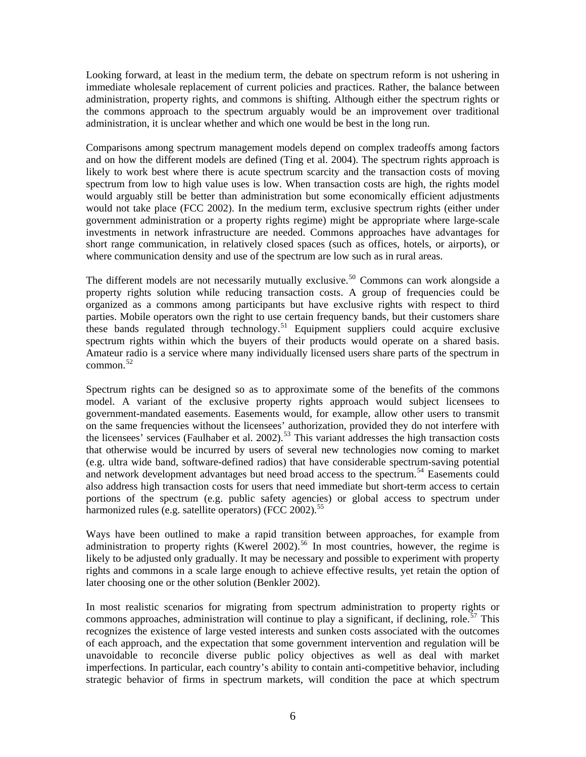Looking forward, at least in the medium term, the debate on spectrum reform is not ushering in immediate wholesale replacement of current policies and practices. Rather, the balance between administration, property rights, and commons is shifting. Although either the spectrum rights or the commons approach to the spectrum arguably would be an improvement over traditional administration, it is unclear whether and which one would be best in the long run.

Comparisons among spectrum management models depend on complex tradeoffs among factors and on how the different models are defined (Ting et al. 2004). The spectrum rights approach is likely to work best where there is acute spectrum scarcity and the transaction costs of moving spectrum from low to high value uses is low. When transaction costs are high, the rights model would arguably still be better than administration but some economically efficient adjustments would not take place (FCC 2002). In the medium term, exclusive spectrum rights (either under government administration or a property rights regime) might be appropriate where large-scale investments in network infrastructure are needed. Commons approaches have advantages for short range communication, in relatively closed spaces (such as offices, hotels, or airports), or where communication density and use of the spectrum are low such as in rural areas.

The different models are not necessarily mutually exclusive.<sup>[50](#page-16-1)</sup> Commons can work alongside a property rights solution while reducing transaction costs. A group of frequencies could be organized as a commons among participants but have exclusive rights with respect to third parties. Mobile operators own the right to use certain frequency bands, but their customers share these bands regulated through technology.<sup>[51](#page-16-1)</sup> Equipment suppliers could acquire exclusive spectrum rights within which the buyers of their products would operate on a shared basis. Amateur radio is a service where many individually licensed users share parts of the spectrum in common.<sup>[52](#page-16-1)</sup>

Spectrum rights can be designed so as to approximate some of the benefits of the commons model. A variant of the exclusive property rights approach would subject licensees to government-mandated easements. Easements would, for example, allow other users to transmit on the same frequencies without the licensees' authorization, provided they do not interfere with the licensees' services (Faulhaber et al. 2002).<sup>[53](#page-16-1)</sup> This variant addresses the high transaction costs that otherwise would be incurred by users of several new technologies now coming to market (e.g. ultra wide band, software-defined radios) that have considerable spectrum-saving potential and network development advantages but need broad access to the spectrum.<sup>[54](#page-16-1)</sup> Easements could also address high transaction costs for users that need immediate but short-term access to certain portions of the spectrum (e.g. public safety agencies) or global access to spectrum under harmonized rules (e.g. satellite operators) (FCC 2002).<sup>[55](#page-16-1)</sup>

Ways have been outlined to make a rapid transition between approaches, for example from administration to property rights (Kwerel 2002).<sup>[56](#page-16-1)</sup> In most countries, however, the regime is likely to be adjusted only gradually. It may be necessary and possible to experiment with property rights and commons in a scale large enough to achieve effective results, yet retain the option of later choosing one or the other solution (Benkler 2002).

In most realistic scenarios for migrating from spectrum administration to property rights or commons approaches, administration will continue to play a significant, if declining, role.<sup>[57](#page-16-1)</sup> This recognizes the existence of large vested interests and sunken costs associated with the outcomes of each approach, and the expectation that some government intervention and regulation will be unavoidable to reconcile diverse public policy objectives as well as deal with market imperfections. In particular, each country's ability to contain anti-competitive behavior, including strategic behavior of firms in spectrum markets, will condition the pace at which spectrum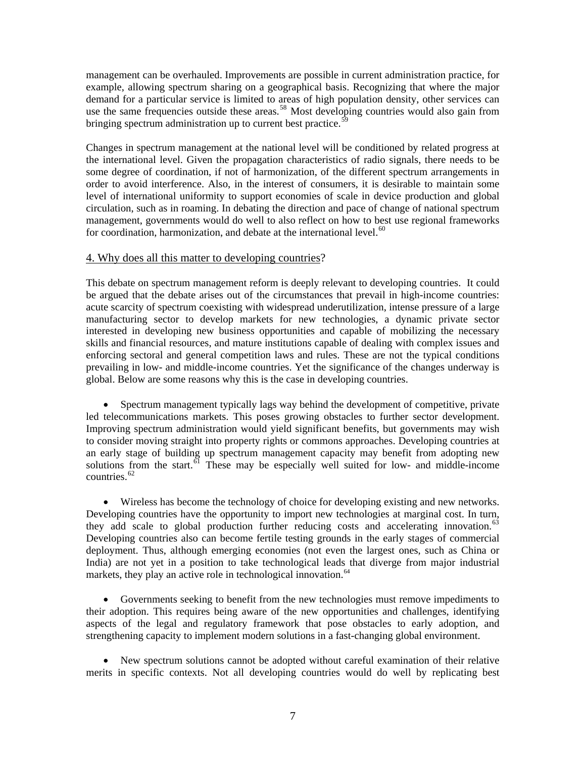management can be overhauled. Improvements are possible in current administration practice, for example, allowing spectrum sharing on a geographical basis. Recognizing that where the major demand for a particular service is limited to areas of high population density, other services can use the same frequencies outside these areas.<sup>[58](#page-16-1)</sup> Most developing countries would also gain from bringing spectrum administration up to current best practice.<sup>[59](#page-16-1)</sup>

Changes in spectrum management at the national level will be conditioned by related progress at the international level. Given the propagation characteristics of radio signals, there needs to be some degree of coordination, if not of harmonization, of the different spectrum arrangements in order to avoid interference. Also, in the interest of consumers, it is desirable to maintain some level of international uniformity to support economies of scale in device production and global circulation, such as in roaming. In debating the direction and pace of change of national spectrum management, governments would do well to also reflect on how to best use regional frameworks for coordination, harmonization, and debate at the international level. $60$ 

# 4. Why does all this matter to developing countries?

This debate on spectrum management reform is deeply relevant to developing countries. It could be argued that the debate arises out of the circumstances that prevail in high-income countries: acute scarcity of spectrum coexisting with widespread underutilization, intense pressure of a large manufacturing sector to develop markets for new technologies, a dynamic private sector interested in developing new business opportunities and capable of mobilizing the necessary skills and financial resources, and mature institutions capable of dealing with complex issues and enforcing sectoral and general competition laws and rules. These are not the typical conditions prevailing in low- and middle-income countries. Yet the significance of the changes underway is global. Below are some reasons why this is the case in developing countries.

• Spectrum management typically lags way behind the development of competitive, private led telecommunications markets. This poses growing obstacles to further sector development. Improving spectrum administration would yield significant benefits, but governments may wish to consider moving straight into property rights or commons approaches. Developing countries at an early stage of building up spectrum management capacity may benefit from adopting new solutions from the start.  $\frac{61}{1}$  $\frac{61}{1}$  $\frac{61}{1}$  These may be especially well suited for low- and middle-income countries. $62$ 

• Wireless has become the technology of choice for developing existing and new networks. Developing countries have the opportunity to import new technologies at marginal cost. In turn, they add scale to global production further reducing costs and accelerating innovation.<sup>[63](#page-16-1)</sup> Developing countries also can become fertile testing grounds in the early stages of commercial deployment. Thus, although emerging economies (not even the largest ones, such as China or India) are not yet in a position to take technological leads that diverge from major industrial markets, they play an active role in technological innovation.<sup>[64](#page-16-1)</sup>

• Governments seeking to benefit from the new technologies must remove impediments to their adoption. This requires being aware of the new opportunities and challenges, identifying aspects of the legal and regulatory framework that pose obstacles to early adoption, and strengthening capacity to implement modern solutions in a fast-changing global environment.

• New spectrum solutions cannot be adopted without careful examination of their relative merits in specific contexts. Not all developing countries would do well by replicating best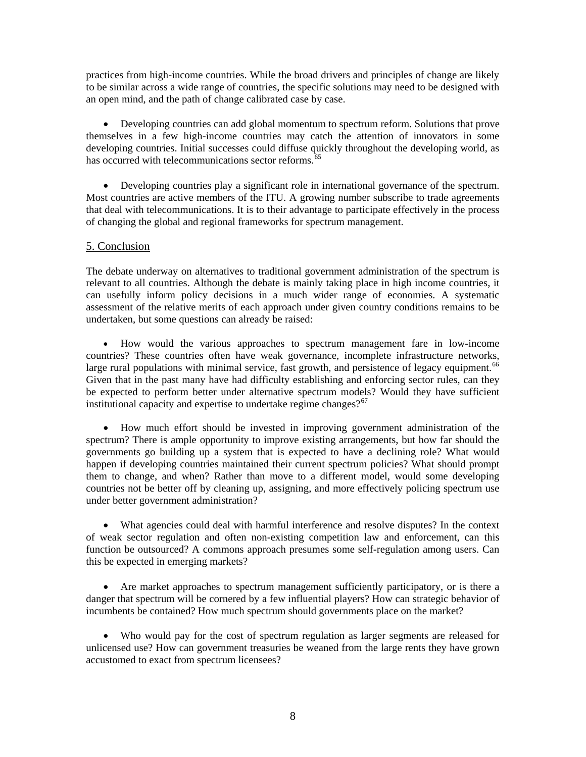practices from high-income countries. While the broad drivers and principles of change are likely to be similar across a wide range of countries, the specific solutions may need to be designed with an open mind, and the path of change calibrated case by case.

• Developing countries can add global momentum to spectrum reform. Solutions that prove themselves in a few high-income countries may catch the attention of innovators in some developing countries. Initial successes could diffuse quickly throughout the developing world, as has occurred with telecommunications sector reforms.<sup>[65](#page-16-1)</sup>

• Developing countries play a significant role in international governance of the spectrum. Most countries are active members of the ITU. A growing number subscribe to trade agreements that deal with telecommunications. It is to their advantage to participate effectively in the process of changing the global and regional frameworks for spectrum management.

# 5. Conclusion

The debate underway on alternatives to traditional government administration of the spectrum is relevant to all countries. Although the debate is mainly taking place in high income countries, it can usefully inform policy decisions in a much wider range of economies. A systematic assessment of the relative merits of each approach under given country conditions remains to be undertaken, but some questions can already be raised:

• How would the various approaches to spectrum management fare in low-income countries? These countries often have weak governance, incomplete infrastructure networks, large rural populations with minimal service, fast growth, and persistence of legacy equipment.<sup>[66](#page-16-1)</sup> Given that in the past many have had difficulty establishing and enforcing sector rules, can they be expected to perform better under alternative spectrum models? Would they have sufficient institutional capacity and expertise to undertake regime changes? $67$ 

• How much effort should be invested in improving government administration of the spectrum? There is ample opportunity to improve existing arrangements, but how far should the governments go building up a system that is expected to have a declining role? What would happen if developing countries maintained their current spectrum policies? What should prompt them to change, and when? Rather than move to a different model, would some developing countries not be better off by cleaning up, assigning, and more effectively policing spectrum use under better government administration?

• What agencies could deal with harmful interference and resolve disputes? In the context of weak sector regulation and often non-existing competition law and enforcement, can this function be outsourced? A commons approach presumes some self-regulation among users. Can this be expected in emerging markets?

• Are market approaches to spectrum management sufficiently participatory, or is there a danger that spectrum will be cornered by a few influential players? How can strategic behavior of incumbents be contained? How much spectrum should governments place on the market?

• Who would pay for the cost of spectrum regulation as larger segments are released for unlicensed use? How can government treasuries be weaned from the large rents they have grown accustomed to exact from spectrum licensees?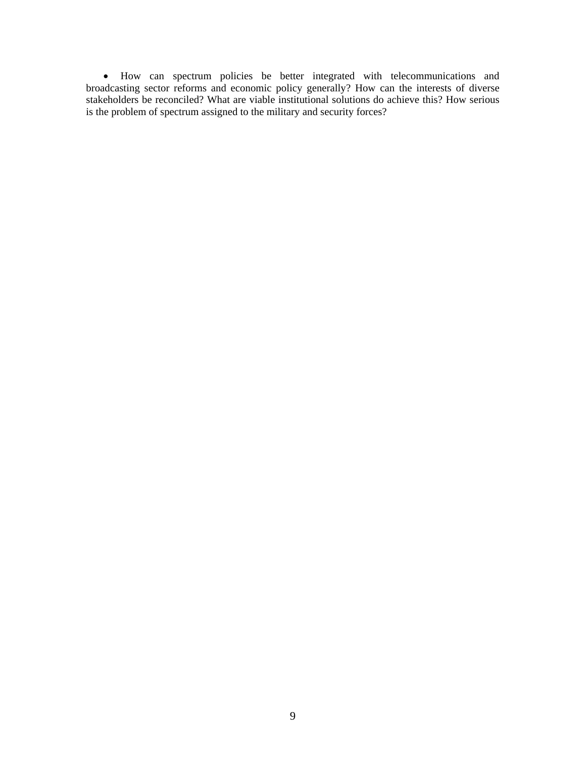• How can spectrum policies be better integrated with telecommunications and broadcasting sector reforms and economic policy generally? How can the interests of diverse stakeholders be reconciled? What are viable institutional solutions do achieve this? How serious is the problem of spectrum assigned to the military and security forces?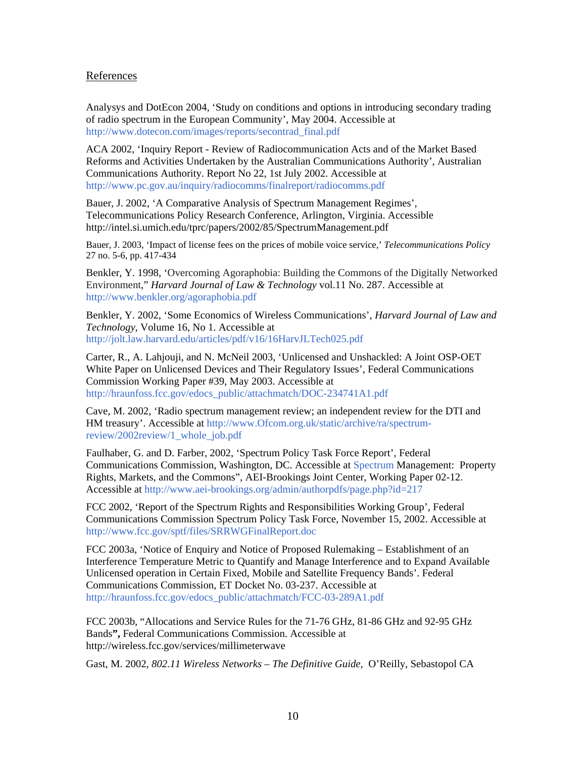# References

Analysys and DotEcon 2004, 'Study on conditions and options in introducing secondary trading of radio spectrum in the European Community', May 2004. Accessible at [http://www.dotecon.com/images/reports/secontrad\\_final.pdf](http://www.dotecon.com/images/reports/secontrad_final.pdf) 

ACA 2002, 'Inquiry Report - Review of Radiocommunication Acts and of the Market Based Reforms and Activities Undertaken by the Australian Communications Authority', Australian Communications Authority. Report No 22, 1st July 2002. Accessible at <http://www.pc.gov.au/inquiry/radiocomms/finalreport/radiocomms.pdf>

Bauer, J. 2002, '[A Comparative Analysis of Spectrum Management Regimes'](http://intel.si.umich.edu/tprc/papers/2002/85/SpectrumManagement.pdf), Telecommunications Policy Research Conference, Arlington, Virginia. Accessible <http://intel.si.umich.edu/tprc/papers/2002/85/SpectrumManagement.pdf>

Bauer, J. 2003, 'Impact of license fees on the prices of mobile voice service,' *Telecommunications Policy* 27 no. 5-6, pp. 417-434

Benkler, Y. 1998, 'Overcoming Agoraphobia: Building the Commons of the Digitally Networked Environment," *Harvard Journal of Law & Technology* vol.11 No. 287. Accessible at <http://www.benkler.org/agoraphobia.pdf>

Benkler, Y. 2002, 'Some Economics of Wireless Communications', *Harvard Journal of Law and Technology*, Volume 16, No 1. Accessible at <http://jolt.law.harvard.edu/articles/pdf/v16/16HarvJLTech025.pdf>

Carter, R., A. Lahjouji, and N. McNeil 2003, 'Unlicensed and Unshackled: A Joint OSP-OET White Paper on Unlicensed Devices and Their Regulatory Issues', Federal Communications Commission Working Paper #39, May 2003. Accessible at [http://hraunfoss.fcc.gov/edocs\\_public/attachmatch/DOC-234741A1.pdf](http://hraunfoss.fcc.gov/edocs_public/attachmatch/DOC-234741A1.pdf) 

Cave, M. 2002, 'Radio spectrum management review; an independent review for the DTI and HM treasury'. Accessible at [http://www.Ofcom.org.uk/static/archive/ra/spectrum](http://www.ofcom.org.uk/static/archive/ra/spectrum-review/2002review/1_whole_job.pdf)[review/2002review/1\\_whole\\_job.pdf](http://www.ofcom.org.uk/static/archive/ra/spectrum-review/2002review/1_whole_job.pdf) 

Faulhaber, G. and D. Farber, 2002, 'Spectrum Policy Task Force Report', Federal Communications Commission, Washington, DC. Accessible at [Spectrum](http://hraunfoss.fcc.gov/edocs_public/attachmatch/DOC-228542A1.pdf) Management: Property Rights, Markets, and the Commons", AEI-Brookings Joint Center, Working Paper 02-12. Accessible at<http://www.aei-brookings.org/admin/authorpdfs/page.php?id=217>

FCC 2002, 'Report of the Spectrum Rights and Responsibilities Working Group', Federal Communications Commission Spectrum Policy Task Force, November 15, 2002. Accessible at <http://www.fcc.gov/sptf/files/SRRWGFinalReport.doc>

FCC 2003a, 'Notice of Enquiry and Notice of Proposed Rulemaking – Establishment of an Interference Temperature Metric to Quantify and Manage Interference and to Expand Available Unlicensed operation in Certain Fixed, Mobile and Satellite Frequency Bands'. Federal Communications Commission, ET Docket No. 03-237. Accessible at [http://hraunfoss.fcc.gov/edocs\\_public/attachmatch/FCC-03-289A1.pdf](http://hraunfoss.fcc.gov/edocs_public/attachmatch/FCC-03-289A1.pdf)

FCC 2003b, ["Allocations and Service Rules for the 71-76 GHz, 81-86 GHz and 92-95 GHz](http://hraunfoss.fcc.gov/edocs_public/attachmatch/DA-04-3151A1.pdf)  [Bands](http://hraunfoss.fcc.gov/edocs_public/attachmatch/DA-04-3151A1.pdf)**",** Federal Communications Commission. Accessible at [http://wireless.fcc.gov/services/millimeterwave](http://wireless.fcc.gov/services/millimeterwave/)

Gast, M. 2002, *802.11 Wireless Networks – The Definitive Guide*, O'Reilly, Sebastopol CA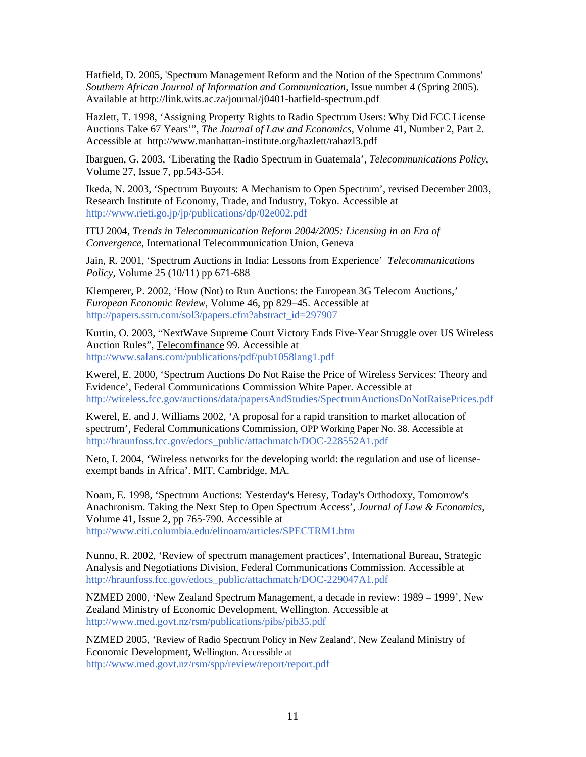Hatfield, D. 2005, 'Spectrum Management Reform and the Notion of the Spectrum Commons' *Southern African Journal of Information and Communication*, Issue number 4 (Spring 2005). Available at http://link.wits.ac.za/journal/j0401-hatfield-spectrum.pdf

Hazlett, T. 1998, 'Assigning Property Rights to Radio Spectrum Users: Why Did FCC License Auctions Take 67 Years'", *The Journal of Law and Economics*, Volume 41, Number 2, Part 2. Accessible at <http://www.manhattan-institute.org/hazlett/rahazl3.pdf>

Ibarguen, G. 2003, 'Liberating the Radio Spectrum in Guatemala', *Telecommunications Policy*, Volume 27, Issue 7, pp.543-554.

Ikeda, N. 2003, 'Spectrum Buyouts: A Mechanism to Open Spectrum', revised December 2003, Research Institute of Economy, Trade, and Industry, Tokyo. Accessible at <http://www.rieti.go.jp/jp/publications/dp/02e002.pdf>

ITU 2004, *Trends in Telecommunication Reform 2004/2005: Licensing in an Era of Convergence*, International Telecommunication Union, Geneva

Jain, R. 2001, ['Spectrum Auctions in India: Lessons from Experience'](http://rru.worldbank.org/PapersLinks/Open.aspx?id=925) *Telecommunications Policy*, Volume 25 (10/11) pp 671-688

Klemperer, P. 2002, 'How (Not) to Run Auctions: the European 3G Telecom Auctions,' *European Economic Review*, Volume 46, pp 829–45. Accessible at http://papers.ssrn.com/sol3/papers.cfm?abstract\_id=297907

Kurtin, O. 2003, "NextWave Supreme Court Victory Ends Five-Year Struggle over US Wireless Auction Rules", Telecomfinance 99. Accessible at <http://www.salans.com/publications/pdf/pub1058lang1.pdf>

Kwerel, E. 2000, 'Spectrum Auctions Do Not Raise the Price of Wireless Services: Theory and Evidence', Federal Communications Commission White Paper. Accessible at <http://wireless.fcc.gov/auctions/data/papersAndStudies/SpectrumAuctionsDoNotRaisePrices.pdf>

Kwerel, E. and J. Williams 2002, 'A proposal for a rapid transition to market allocation of spectrum', Federal Communications Commission, OPP Working Paper No. 38. Accessible at [http://hraunfoss.fcc.gov/edocs\\_public/attachmatch/DOC-228552A1.pdf](http://hraunfoss.fcc.gov/edocs_public/attachmatch/DOC-228552A1.pdf)

Neto, I. 2004, 'Wireless networks for the developing world: the regulation and use of licenseexempt bands in Africa'. MIT, Cambridge, MA.

Noam, E. 1998, '[Spectrum Auctions: Yesterday's Heresy, Today's Orthodoxy, Tomorrow's](http://ideas.repec.org/a/ucp/jlawec/v41y1998i2p765-90.html)  [Anachronism. Taking the Next Step to Open Spectrum Access](http://ideas.repec.org/a/ucp/jlawec/v41y1998i2p765-90.html)', *Journal of Law & Economics*, Volume 41, Issue 2, pp 765-790. Accessible at <http://www.citi.columbia.edu/elinoam/articles/SPECTRM1.htm>

Nunno, R. 2002, 'Review of spectrum management practices', International Bureau, Strategic Analysis and Negotiations Division, Federal Communications Commission. Accessible at [http://hraunfoss.fcc.gov/edocs\\_public/attachmatch/DOC-229047A1.pdf](http://hraunfoss.fcc.gov/edocs_public/attachmatch/DOC-229047A1.pdf) 

NZMED 2000, 'New Zealand Spectrum Management, a decade in review: 1989 – 1999', New Zealand Ministry of Economic Development, Wellington. Accessible at <http://www.med.govt.nz/rsm/publications/pibs/pib35.pdf>

NZMED 2005, 'Review of Radio Spectrum Policy in New Zealand', New Zealand Ministry of Economic Development, Wellington. Accessible at <http://www.med.govt.nz/rsm/spp/review/report/report.pdf>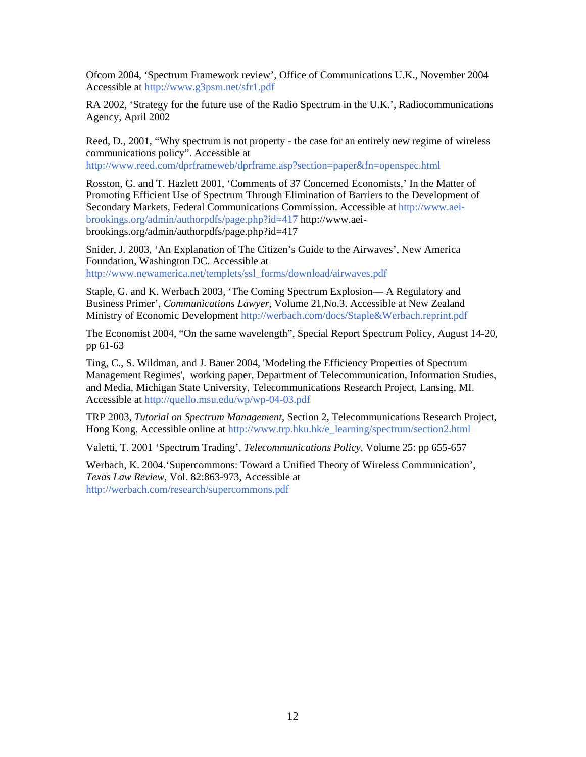Ofcom 2004, 'Spectrum Framework review', Office of Communications U.K., November 2004 Accessible at<http://www.g3psm.net/sfr1.pdf>

RA 2002, 'Strategy for the future use of the Radio Spectrum in the U.K.', Radiocommunications Agency, April 2002

Reed, D., 2001, "Why spectrum is not property - the case for an entirely new regime of wireless communications policy". Accessible at

<http://www.reed.com/dprframeweb/dprframe.asp?section=paper&fn=openspec.html>

Rosston, G. and T. Hazlett 2001, 'Comments of 37 Concerned Economists,' In the Matter of Promoting Efficient Use of Spectrum Through Elimination of Barriers to the Development of Secondary Markets, Federal Communications Commission. Accessible at [http://www.aei](http://www.aei-brookings.org/admin/authorpdfs/page.php?id=417)[brookings.org/admin/authorpdfs/page.php?id=417](http://www.aei-brookings.org/admin/authorpdfs/page.php?id=417) http://www.aeibrookings.org/admin/authorpdfs/page.php?id=417

Snider, J. 2003, 'An Explanation of The Citizen's Guide to the Airwaves', New America Foundation, Washington DC. Accessible at [http://www.newamerica.net/templets/ssl\\_forms/download/airwaves.pdf](http://www.newamerica.net/templets/ssl_forms/download/airwaves.pdf)

Staple, G. and K. Werbach 2003, 'The Coming Spectrum Explosion— A Regulatory and Business Primer', *Communications Lawyer*, Volume 21,No.3. Accessible at New Zealand Ministry of Economic Development <http://werbach.com/docs/Staple&Werbach.reprint.pdf>

The Economist 2004, "On the same wavelength", Special Report Spectrum Policy, August 14-20, pp 61-63

Ting, C., S. Wildman, and J. Bauer 2004, 'Modeling the Efficiency Properties of Spectrum Management Regimes', working paper, Department of Telecommunication, Information Studies, and Media, Michigan State University, Telecommunications Research Project, Lansing, MI. Accessible at<http://quello.msu.edu/wp/wp-04-03.pdf>

TRP 2003, *Tutorial on Spectrum Management*, Section 2, Telecommunications Research Project, Hong Kong. Accessible online at [http://www.trp.hku.hk/e\\_learning/spectrum/section2.html](http://www.trp.hku.hk/e_learning/spectrum/section2.html)

Valetti, T. 2001 ['Spectrum Trading'](http://rru.worldbank.org/PapersLinks/Open.aspx?id=928), *Telecommunications Policy*, Volume 25: pp 655-657

Werbach, K. 2004.'Supercommons: Toward a Unified Theory of Wireless Communication', *Texas Law Review*, Vol. 82:863-973, Accessible at <http://werbach.com/research/supercommons.pdf>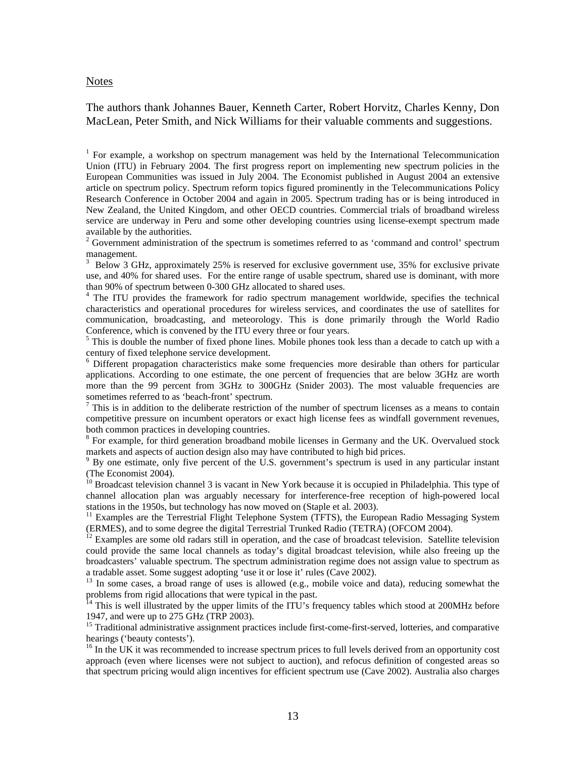#### **Notes**

The authors thank Johannes Bauer, Kenneth Carter, Robert Horvitz, Charles Kenny, Don MacLean, Peter Smith, and Nick Williams for their valuable comments and suggestions.

<sup>1</sup> For example, a workshop on spectrum management was held by the International Telecommunication Union (ITU) in February 2004. The first progress report on implementing new spectrum policies in the European Communities was issued in July 2004. The Economist published in August 2004 an extensive article on spectrum policy. Spectrum reform topics figured prominently in the Telecommunications Policy Research Conference in October 2004 and again in 2005. Spectrum trading has or is being introduced in New Zealand, the United Kingdom, and other OECD countries. Commercial trials of broadband wireless service are underway in Peru and some other developing countries using license-exempt spectrum made available by the authorities.

 $2^2$  Government administration of the spectrum is sometimes referred to as 'command and control' spectrum management.

<sup>3</sup> Below 3 GHz, approximately 25% is reserved for exclusive government use, 35% for exclusive private use, and 40% for shared uses. For the entire range of usable spectrum, shared use is dominant, with more than 90% of spectrum between 0-300 GHz allocated to shared uses. 4

<sup>4</sup> The ITU provides the framework for radio spectrum management worldwide, specifies the technical characteristics and operational procedures for wireless services, and coordinates the use of satellites for communication, broadcasting, and meteorology. This is done primarily through the World Radio Conference, which is convened by the ITU every three or four years.

 $<sup>5</sup>$  This is double the number of fixed phone lines. Mobile phones took less than a decade to catch up with a</sup> century of fixed telephone service development.

<sup>6</sup> Different propagation characteristics make some frequencies more desirable than others for particular applications. According to one estimate, the one percent of frequencies that are below 3GHz are worth more than the 99 percent from 3GHz to 300GHz (Snider 2003). The most valuable frequencies are sometimes referred to as 'beach-front' spectrum.

 $<sup>7</sup>$  This is in addition to the deliberate restriction of the number of spectrum licenses as a means to contain</sup> competitive pressure on incumbent operators or exact high license fees as windfall government revenues, both common practices in developing countries.

<sup>8</sup> For example, for third generation broadband mobile licenses in Germany and the UK. Overvalued stock markets and aspects of auction design also may have contributed to high bid prices.

<sup>9</sup> By one estimate, only five percent of the U.S. government's spectrum is used in any particular instant (The Economist 2004).

<sup>10</sup> Broadcast television channel 3 is vacant in New York because it is occupied in Philadelphia. This type of channel allocation plan was arguably necessary for interference-free reception of high-powered local stations in the 1950s, but technology has now moved on (Staple et al. 2003).

<sup>11</sup> Examples are the Terrestrial Flight Telephone System (TFTS), the European Radio Messaging System (ERMES), and to some degree the digital Terrestrial Trunked Radio (TETRA) (OFCOM 2004).

<sup>12</sup> Examples are some old radars still in operation, and the case of broadcast television. Satellite television could provide the same local channels as today's digital broadcast television, while also freeing up the broadcasters' valuable spectrum. The spectrum administration regime does not assign value to spectrum as a tradable asset. Some suggest adopting 'use it or lose it' rules (Cave 2002).

<sup>13</sup> In some cases, a broad range of uses is allowed (e.g., mobile voice and data), reducing somewhat the problems from rigid allocations that were typical in the past.

 $14$  This is well illustrated by the upper limits of the ITU's frequency tables which stood at 200MHz before 1947, and were up to 275 GHz (TRP 2003).

<sup>15</sup> Traditional administrative assignment practices include first-come-first-served, lotteries, and comparative hearings ('beauty contests').

<sup>16</sup> In the UK it was recommended to increase spectrum prices to full levels derived from an opportunity cost approach (even where licenses were not subject to auction), and refocus definition of congested areas so that spectrum pricing would align incentives for efficient spectrum use (Cave 2002). Australia also charges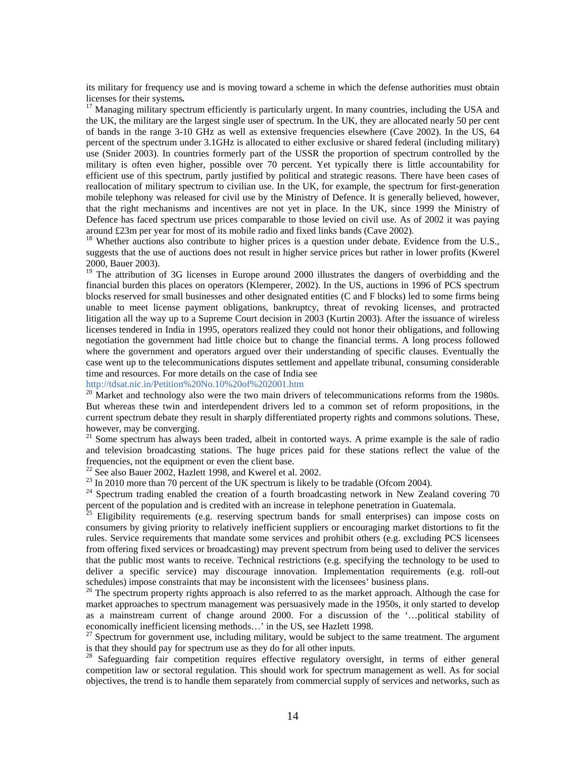its military for frequency use and is moving toward a scheme in which the defense authorities must obtain licenses for their systems.<br><sup>17</sup> Managing military spectrum efficiently is particularly urgent. In many countries, including the USA and

the UK, the military are the largest single user of spectrum. In the UK, they are allocated nearly 50 per cent of bands in the range 3-10 GHz as well as extensive frequencies elsewhere (Cave 2002). In the US, 64 percent of the spectrum under 3.1GHz is allocated to either exclusive or shared federal (including military) use (Snider 2003). In countries formerly part of the USSR the proportion of spectrum controlled by the military is often even higher, possible over 70 percent. Yet typically there is little accountability for efficient use of this spectrum, partly justified by political and strategic reasons. There have been cases of reallocation of military spectrum to civilian use. In the UK, for example, the spectrum for first-generation mobile telephony was released for civil use by the Ministry of Defence. It is generally believed, however, that the right mechanisms and incentives are not yet in place. In the UK, since 1999 the Ministry of Defence has faced spectrum use prices comparable to those levied on civil use. As of 2002 it was paying around £23m per year for most of its mobile radio and fixed links bands (Cave 2002).

 $18$  Whether auctions also contribute to higher prices is a question under debate. Evidence from the U.S., suggests that the use of auctions does not result in higher service prices but rather in lower profits (Kwerel 2000, Bauer 2003).

<sup>19</sup> The attribution of 3G licenses in Europe around 2000 illustrates the dangers of overbidding and the financial burden this places on operators (Klemperer, 2002). In the US, auctions in 1996 of PCS spectrum blocks reserved for small businesses and other designated entities (C and F blocks) led to some firms being unable to meet license payment obligations, bankruptcy, threat of revoking licenses, and protracted litigation all the way up to a Supreme Court decision in 2003 (Kurtin 2003). After the issuance of wireless licenses tendered in India in 1995, operators realized they could not honor their obligations, and following negotiation the government had little choice but to change the financial terms. A long process followed where the government and operators argued over their understanding of specific clauses. Eventually the case went up to the telecommunications disputes settlement and appellate tribunal, consuming considerable time and resources. For more details on the case of India see

http://tdsat.nic.in/Petition%20No.10%20of%202001.htm<br><sup>20</sup> Market and technology also were the two main drivers of telecommunications reforms from the 1980s. But whereas these twin and interdependent drivers led to a common set of reform propositions, in the current spectrum debate they result in sharply differentiated property rights and commons solutions. These, however, may be converging.

<sup>21</sup> Some spectrum has always been traded, albeit in contorted ways. A prime example is the sale of radio and television broadcasting stations. The huge prices paid for these stations reflect the value of the frequencies, not the equipment or even the client base.

<sup>22</sup> See also Bauer 2002, Hazlett 1998, and Kwerel et al. 2002.<br><sup>23</sup> In 2010 more than 70 percent of the UK spectrum is likely to be tradable (Ofcom 2004).

<sup>24</sup> Spectrum trading enabled the creation of a fourth broadcasting network in New Zealand covering 70 percent of the population and is credited with an increase in telephone penetration in Guatemala.

<sup>25</sup> Eligibility requirements (e.g. reserving spectrum bands for small enterprises) can impose costs on consumers by giving priority to relatively inefficient suppliers or encouraging market distortions to fit the rules. Service requirements that mandate some services and prohibit others (e.g. excluding PCS licensees from offering fixed services or broadcasting) may prevent spectrum from being used to deliver the services that the public most wants to receive. Technical restrictions (e.g. specifying the technology to be used to deliver a specific service) may discourage innovation. Implementation requirements (e.g. roll-out schedules) impose constraints that may be inconsistent with the licensees' business plans.

<sup>26</sup> The spectrum property rights approach is also referred to as the market approach. Although the case for market approaches to spectrum management was persuasively made in the 1950s, it only started to develop as a mainstream current of change around 2000. For a discussion of the '…political stability of economically inefficient licensing methods…' in the US, see Hazlett 1998.

 $27$  Spectrum for government use, including military, would be subject to the same treatment. The argument is that they should pay for spectrum use as they do for all other inputs.

28 Safeguarding fair competition requires effective regulatory oversight, in terms of either general competition law or sectoral regulation. This should work for spectrum management as well. As for social objectives, the trend is to handle them separately from commercial supply of services and networks, such as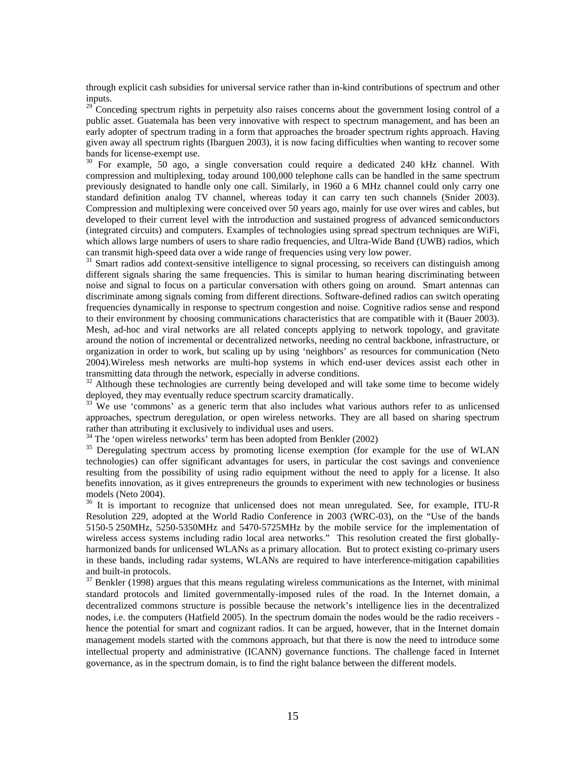through explicit cash subsidies for universal service rather than in-kind contributions of spectrum and other inputs.

<sup>29</sup> Conceding spectrum rights in perpetuity also raises concerns about the government losing control of a public asset. Guatemala has been very innovative with respect to spectrum management, and has been an early adopter of spectrum trading in a form that approaches the broader spectrum rights approach. Having given away all spectrum rights (Ibarguen 2003), it is now facing difficulties when wanting to recover some bands for license-exempt use.

 $30\,$  For example, 50 ago, a single conversation could require a dedicated 240 kHz channel. With compression and multiplexing, today around 100,000 telephone calls can be handled in the same spectrum previously designated to handle only one call. Similarly, in 1960 a 6 MHz channel could only carry one standard definition analog TV channel, whereas today it can carry ten such channels (Snider 2003). Compression and multiplexing were conceived over 50 years ago, mainly for use over wires and cables, but developed to their current level with the introduction and sustained progress of advanced semiconductors (integrated circuits) and computers. Examples of technologies using spread spectrum techniques are WiFi, which allows large numbers of users to share radio frequencies, and Ultra-Wide Band (UWB) radios, which can transmit high-speed data over a wide range of frequencies using very low power.

<sup>31</sup> Smart radios add context-sensitive intelligence to signal processing, so receivers can distinguish among different signals sharing the same frequencies. This is similar to human hearing discriminating between noise and signal to focus on a particular conversation with others going on around. Smart antennas can discriminate among signals coming from different directions. Software-defined radios can switch operating frequencies dynamically in response to spectrum congestion and noise. Cognitive radios sense and respond to their environment by choosing communications characteristics that are compatible with it (Bauer 2003). Mesh, ad-hoc and viral networks are all related concepts applying to network topology, and gravitate around the notion of incremental or decentralized networks, needing no central backbone, infrastructure, or organization in order to work, but scaling up by using 'neighbors' as resources for communication (Neto 2004).Wireless mesh networks are multi-hop systems in which end-user devices assist each other in transmitting data through the network, especially in adverse conditions.

 $32$  Although these technologies are currently being developed and will take some time to become widely deployed, they may eventually reduce spectrum scarcity dramatically.

 $\frac{33}{33}$  We use 'commons' as a generic term that also includes what various authors refer to as unlicensed approaches, spectrum deregulation, or open wireless networks. They are all based on sharing spectrum rather than attributing it exclusively to individual uses and users.

 $34$  The 'open wireless networks' term has been adopted from Benkler (2002)

<sup>35</sup> Deregulating spectrum access by promoting license exemption (for example for the use of WLAN technologies) can offer significant advantages for users, in particular the cost savings and convenience resulting from the possibility of using radio equipment without the need to apply for a license. It also benefits innovation, as it gives entrepreneurs the grounds to experiment with new technologies or business models (Neto 2004).

<sup>36</sup> It is important to recognize that unlicensed does not mean unregulated. See, for example, ITU-R Resolution 229, adopted at the World Radio Conference in 2003 (WRC-03), on the "Use of the bands 5150-5 250MHz, 5250-5350MHz and 5470-5725MHz by the mobile service for the implementation of wireless access systems including radio local area networks." This resolution created the first globallyharmonized bands for unlicensed WLANs as a primary allocation. But to protect existing co-primary users in these bands, including radar systems, WLANs are required to have interference-mitigation capabilities and built-in protocols.

 $37$  Benkler (1998) argues that this means regulating wireless communications as the Internet, with minimal standard protocols and limited governmentally-imposed rules of the road. In the Internet domain, a decentralized commons structure is possible because the network's intelligence lies in the decentralized nodes, i.e. the computers (Hatfield 2005). In the spectrum domain the nodes would be the radio receivers hence the potential for smart and cognizant radios. It can be argued, however, that in the Internet domain management models started with the commons approach, but that there is now the need to introduce some intellectual property and administrative (ICANN) governance functions. The challenge faced in Internet governance, as in the spectrum domain, is to find the right balance between the different models.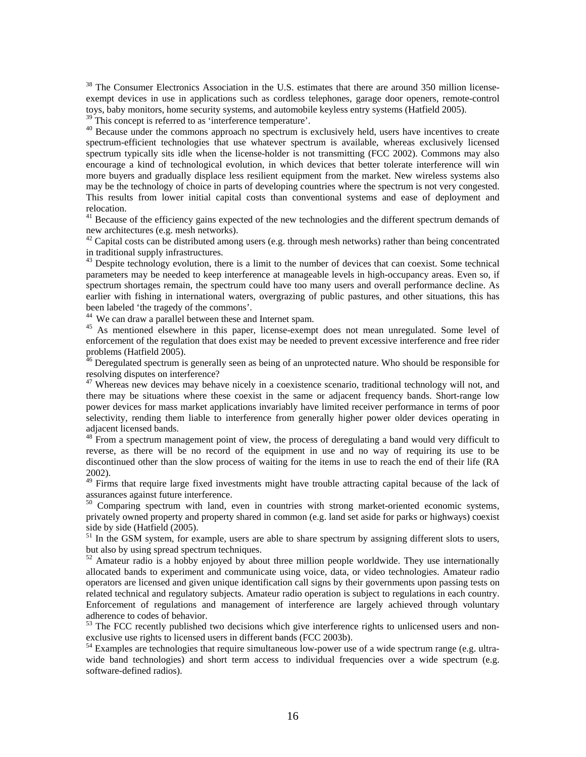<sup>38</sup> The Consumer Electronics Association in the U.S. estimates that there are around 350 million licenseexempt devices in use in applications such as cordless telephones, garage door openers, remote-control toys, baby monitors, home security systems, and automobile keyless entry systems (Hatfield 2005).

<sup>39</sup> This concept is referred to as 'interference temperature'.<br><sup>40</sup> Because under the commons approach no spectrum is exclusively held, users have incentives to create spectrum-efficient technologies that use whatever spectrum is available, whereas exclusively licensed spectrum typically sits idle when the license-holder is not transmitting (FCC 2002). Commons may also encourage a kind of technological evolution, in which devices that better tolerate interference will win more buyers and gradually displace less resilient equipment from the market. New wireless systems also may be the technology of choice in parts of developing countries where the spectrum is not very congested. This results from lower initial capital costs than conventional systems and ease of deployment and relocation.

<sup>41</sup> Because of the efficiency gains expected of the new technologies and the different spectrum demands of new architectures (e.g. mesh networks).

 $42$  Capital costs can be distributed among users (e.g. through mesh networks) rather than being concentrated in traditional supply infrastructures.

 $43$  Despite technology evolution, there is a limit to the number of devices that can coexist. Some technical parameters may be needed to keep interference at manageable levels in high-occupancy areas. Even so, if spectrum shortages remain, the spectrum could have too many users and overall performance decline. As earlier with fishing in international waters, overgrazing of public pastures, and other situations, this has been labeled 'the tragedy of the commons'.<br><sup>44</sup> We can draw a parallel between these and Internet spam.

<sup>45</sup> As mentioned elsewhere in this paper, license-exempt does not mean unregulated. Some level of enforcement of the regulation that does exist may be needed to prevent excessive interference and free rider problems (Hatfield 2005).

 $46$  Deregulated spectrum is generally seen as being of an unprotected nature. Who should be responsible for resolving disputes on interference?

 $47$  Whereas new devices may behave nicely in a coexistence scenario, traditional technology will not, and there may be situations where these coexist in the same or adjacent frequency bands. Short-range low power devices for mass market applications invariably have limited receiver performance in terms of poor selectivity, rending them liable to interference from generally higher power older devices operating in adjacent licensed bands.

 $48$  From a spectrum management point of view, the process of deregulating a band would very difficult to reverse, as there will be no record of the equipment in use and no way of requiring its use to be discontinued other than the slow process of waiting for the items in use to reach the end of their life (RA 2002).

<sup>49</sup> Firms that require large fixed investments might have trouble attracting capital because of the lack of assurances against future interference.

 $50$  Comparing spectrum with land, even in countries with strong market-oriented economic systems, privately owned property and property shared in common (e.g. land set aside for parks or highways) coexist side by side (Hatfield (2005).

 $51$  In the GSM system, for example, users are able to share spectrum by assigning different slots to users, but also by using spread spectrum techniques.

<sup>52</sup> Amateur radio is a hobby enjoyed by about three million people worldwide. They use internationally allocated bands to experiment and communicate using voice, data, or video technologies. Amateur radio operators are licensed and given unique identification call signs by their governments upon passing tests on related technical and regulatory subjects. Amateur radio operation is subject to regulations in each country. Enforcement of regulations and management of interference are largely achieved through voluntary adherence to codes of behavior.

 $53$  The FCC recently published two decisions which give interference rights to unlicensed users and nonexclusive use rights to licensed users in different bands (FCC 2003b).

<sup>54</sup> Examples are technologies that require simultaneous low-power use of a wide spectrum range (e.g. ultrawide band technologies) and short term access to individual frequencies over a wide spectrum (e.g. software-defined radios).